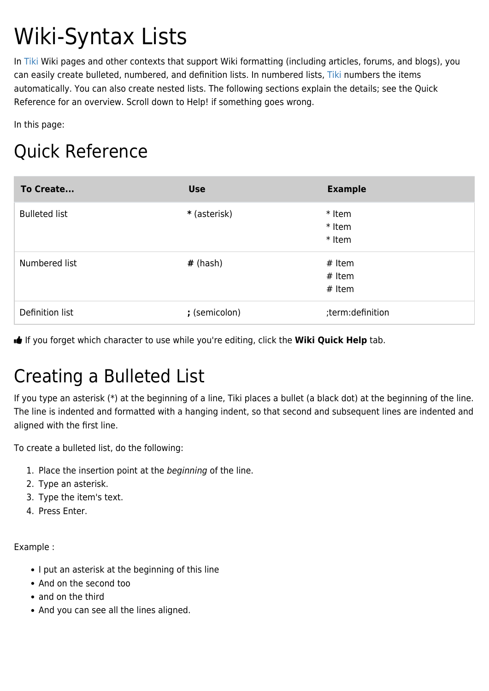# Wiki-Syntax Lists

In [Tiki](https://tiki.org) Wiki pages and other contexts that support Wiki formatting (including articles, forums, and blogs), you can easily create bulleted, numbered, and definition lists. In numbered lists, [Tiki](https://tiki.org) numbers the items automatically. You can also create nested lists. The following sections explain the details; see the Quick Reference for an overview. Scroll down to Help! if something goes wrong.

In this page:

# Quick Reference

| To Create            | <b>Use</b>    | <b>Example</b>                   |
|----------------------|---------------|----------------------------------|
| <b>Bulleted list</b> | * (asterisk)  | * Item<br>* Item<br>* Item       |
| Numbered list        | $#$ (hash)    | $#$ Item<br>$#$ Item<br>$#$ Item |
| Definition list      | ; (semicolon) | ;term:definition                 |

If you forget which character to use while you're editing, click the **Wiki Quick Help** tab.

# Creating a Bulleted List

If you type an asterisk (\*) at the beginning of a line, Tiki places a bullet (a black dot) at the beginning of the line. The line is indented and formatted with a hanging indent, so that second and subsequent lines are indented and aligned with the first line.

To create a bulleted list, do the following:

- 1. Place the insertion point at the beginning of the line.
- 2. Type an asterisk.
- 3. Type the item's text.
- 4. Press Enter.

Example :

- I put an asterisk at the beginning of this line
- And on the second too
- and on the third
- And you can see all the lines aligned.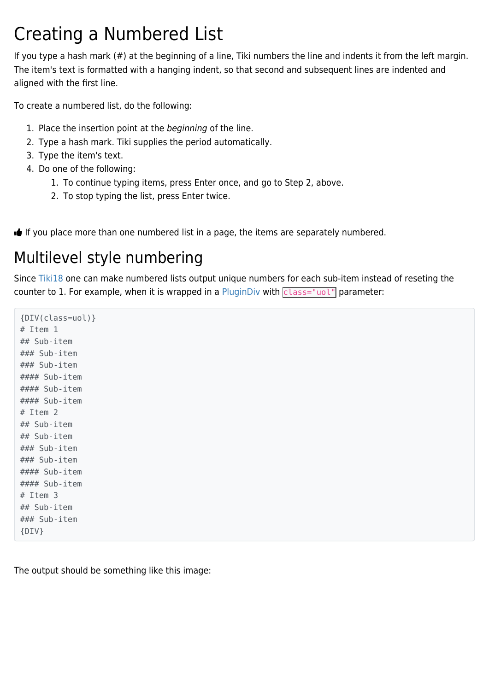### Creating a Numbered List

If you type a hash mark (#) at the beginning of a line, Tiki numbers the line and indents it from the left margin. The item's text is formatted with a hanging indent, so that second and subsequent lines are indented and aligned with the first line.

To create a numbered list, do the following:

- 1. Place the insertion point at the beginning of the line.
- 2. Type a hash mark. Tiki supplies the period automatically.
- 3. Type the item's text.
- 4. Do one of the following:
	- 1. To continue typing items, press Enter once, and go to Step 2, above.
	- 2. To stop typing the list, press Enter twice.

If you place more than one numbered list in a page, the items are separately numbered.

### Multilevel style numbering

Since [Tiki18](https://doc.tiki.org/Tiki18) one can make numbered lists output unique numbers for each sub-item instead of reseting the counter to 1. For example, when it is wrapped in a [PluginDiv](https://doc.tiki.org/PluginDiv) with  $\overline{class}="uol"$  parameter:

{DIV(class=uol)} # Item 1 ## Sub-item ### Sub-item ### Sub-item #### Sub-item #### Sub-item #### Sub-item # Item 2 ## Sub-item ## Sub-item ### Sub-item ### Sub-item #### Sub-item #### Sub-item # Item 3 ## Sub-item ### Sub-item {DIV}

The output should be something like this image: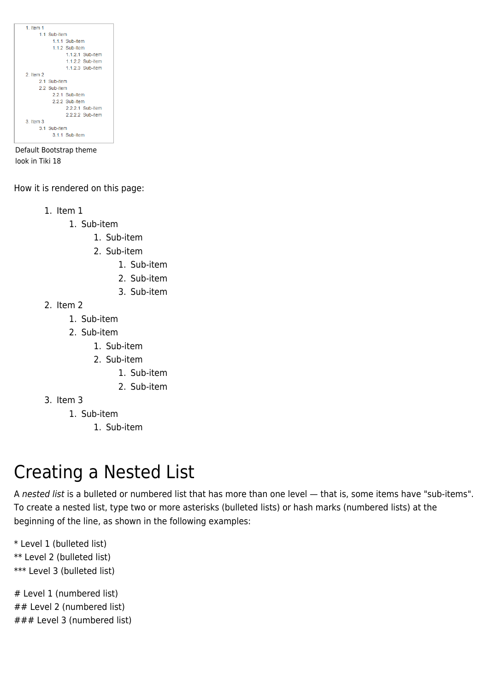

Default Bootstrap theme look in Tiki 18

How it is rendered on this page:

- 1. Item 1
	- 1. Sub-item
		- 1. Sub-item
		- 2. Sub-item
			- 1. Sub-item
			- 2. Sub-item
			- 3. Sub-item
- 2. Item 2
	- 1. Sub-item
	- 2. Sub-item
		- 1. Sub-item
		- 2. Sub-item
			- 1. Sub-item
			- 2. Sub-item
- 3. Item 3
	- 1. Sub-item
		- 1. Sub-item

# Creating a Nested List

A nested list is a bulleted or numbered list that has more than one level — that is, some items have "sub-items". To create a nested list, type two or more asterisks (bulleted lists) or hash marks (numbered lists) at the beginning of the line, as shown in the following examples:

\* Level 1 (bulleted list) \*\* Level 2 (bulleted list) \*\*\* Level 3 (bulleted list)

# Level 1 (numbered list) ## Level 2 (numbered list) ### Level 3 (numbered list)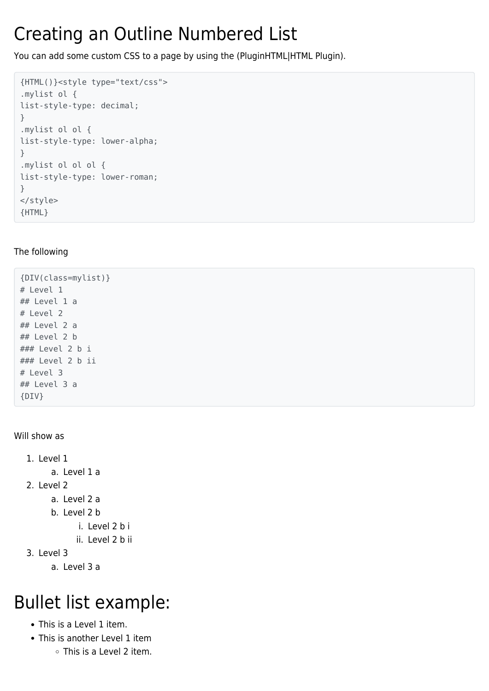# Creating an Outline Numbered List

You can add some custom CSS to a page by using the (PluginHTML|HTML Plugin).

```
{HTML()}<style type="text/css">
.mylist ol {
list-style-type: decimal;
}
.mylist ol ol {
list-style-type: lower-alpha;
}
.mylist ol ol ol {
list-style-type: lower-roman;
}
</style>
{HTML}
```
#### The following

{DIV(class=mylist)} # Level 1 ## Level 1 a # Level 2 ## Level 2 a ## Level 2 b ### Level 2 b i ### Level 2 b ii # Level 3 ## Level 3 a {DIV}

Will show as

- 1. Level 1 a. Level 1 a 2. Level 2 a. Level 2 a
	- b. Level 2 b
		- i. Level 2 b i
		- ii. Level 2 b ii
- 3. Level 3
	- a. Level 3 a

# Bullet list example:

- This is a Level 1 item.
- This is another Level 1 item
	- This is a Level 2 item.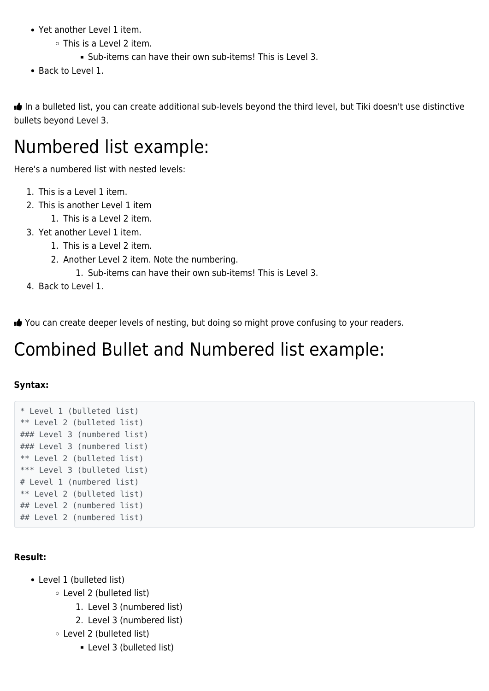- Yet another Level 1 item.
	- This is a Level 2 item.
		- Sub-items can have their own sub-items! This is Level 3.
- Back to Level 1.

 In a bulleted list, you can create additional sub-levels beyond the third level, but Tiki doesn't use distinctive bullets beyond Level 3.

### Numbered list example:

Here's a numbered list with nested levels:

- 1. This is a Level 1 item.
- 2. This is another Level 1 item
	- 1. This is a Level 2 item.
- 3. Yet another Level 1 item.
	- 1. This is a Level 2 item.
	- 2. Another Level 2 item. Note the numbering.
		- 1. Sub-items can have their own sub-items! This is Level 3.
- 4. Back to Level 1.

You can create deeper levels of nesting, but doing so might prove confusing to your readers.

### Combined Bullet and Numbered list example:

#### **Syntax:**

```
* Level 1 (bulleted list)
** Level 2 (bulleted list)
### Level 3 (numbered list)
### Level 3 (numbered list)
** Level 2 (bulleted list)
*** Level 3 (bulleted list)
# Level 1 (numbered list)
** Level 2 (bulleted list)
## Level 2 (numbered list)
## Level 2 (numbered list)
```
#### **Result:**

- Level 1 (bulleted list)
	- Level 2 (bulleted list)
		- 1. Level 3 (numbered list)
		- 2. Level 3 (numbered list)
	- Level 2 (bulleted list)
		- **Level 3 (bulleted list)**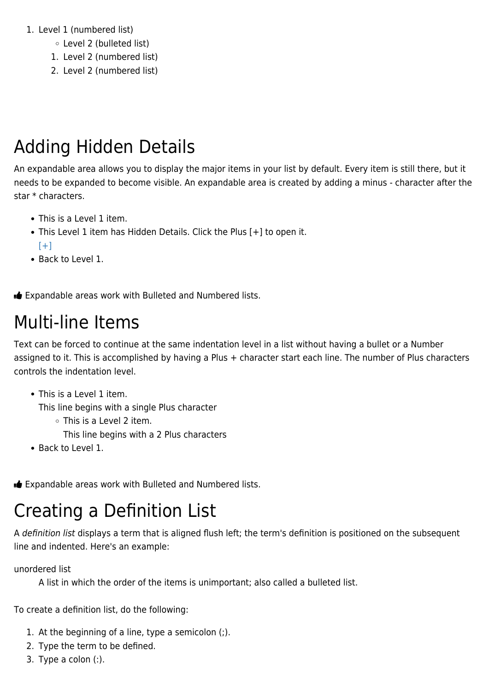#### 1. Level 1 (numbered list)

- Level 2 (bulleted list)
- 1. Level 2 (numbered list)
- 2. Level 2 (numbered list)

### Adding Hidden Details

An expandable area allows you to display the major items in your list by default. Every item is still there, but it needs to be expanded to become visible. An expandable area is created by adding a minus - character after the star \* characters.

- This is a Level 1 item.
- This Level 1 item has Hidden Details. Click the Plus [+] to open it.  $[+]$
- Back to Level 1.

**Expandable areas work with Bulleted and Numbered lists.** 

### Multi-line Items

Text can be forced to continue at the same indentation level in a list without having a bullet or a Number assigned to it. This is accomplished by having a Plus + character start each line. The number of Plus characters controls the indentation level.

• This is a Level 1 item.

This line begins with a single Plus character

- This is a Level 2 item.
	- This line begins with a 2 Plus characters
- Back to Level 1.

**Expandable areas work with Bulleted and Numbered lists.** 

### Creating a Definition List

A definition list displays a term that is aligned flush left; the term's definition is positioned on the subsequent line and indented. Here's an example:

unordered list

A list in which the order of the items is unimportant; also called a bulleted list.

To create a definition list, do the following:

- 1. At the beginning of a line, type a semicolon (;).
- 2. Type the term to be defined.
- 3. Type a colon (:).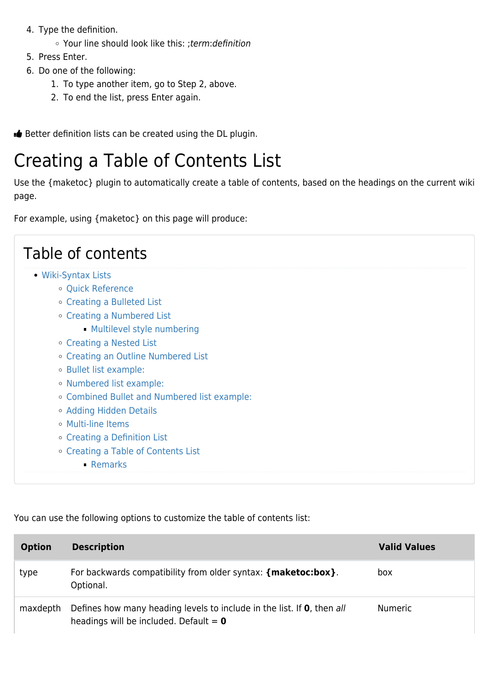- 4. Type the definition.
	- Your line should look like this: ;term:definition
- 5. Press Enter.
- 6. Do one of the following:
	- 1. To type another item, go to Step 2, above.
	- 2. To end the list, press Enter again.

Better definition lists can be created using the DL plugin.

# Creating a Table of Contents List

Use the {maketoc} plugin to automatically create a table of contents, based on the headings on the current wiki page.

For example, using {maketoc} on this page will produce:

| Table of contents                            |
|----------------------------------------------|
| • Wiki-Syntax Lists                          |
| · Quick Reference                            |
| ○ Creating a Bulleted List                   |
| ○ Creating a Numbered List                   |
| • Multilevel style numbering                 |
| ○ Creating a Nested List                     |
| ○ Creating an Outline Numbered List          |
| ○ Bullet list example:                       |
| • Numbered list example:                     |
| • Combined Bullet and Numbered list example: |
| ○ Adding Hidden Details                      |
| ○ Multi-line Items                           |
| ○ Creating a Definition List                 |
| ○ Creating a Table of Contents List          |
| - Remarks                                    |
|                                              |

You can use the following options to customize the table of contents list:

| <b>Option</b> | <b>Description</b>                                                                                                                  | <b>Valid Values</b> |
|---------------|-------------------------------------------------------------------------------------------------------------------------------------|---------------------|
| type          | For backwards compatibility from older syntax: {maketoc:box}.<br>Optional.                                                          | box                 |
| maxdepth      | Defines how many heading levels to include in the list. If <b>0</b> , then all<br>headings will be included. Default = $\mathbf{0}$ | <b>Numeric</b>      |